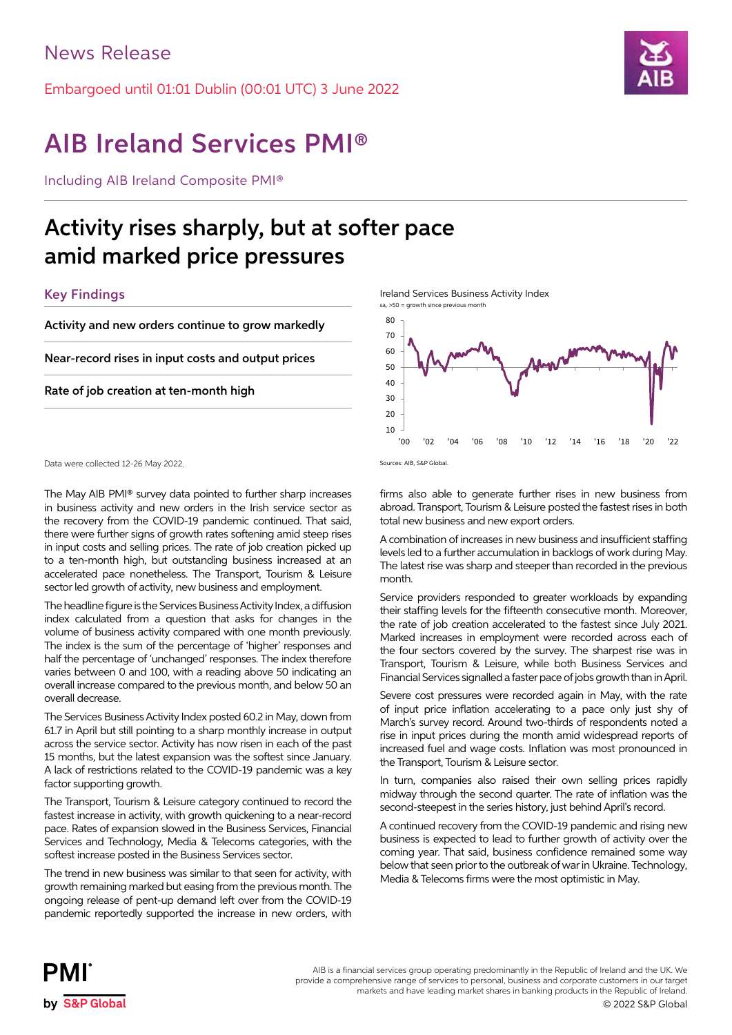Embargoed until 01:01 Dublin (00:01 UTC) 3 June 2022



# AIB Ireland Services PMI®

Including AIB Ireland Composite PMI®

## Activity rises sharply, but at softer pace amid marked price pressures

## Key Findings

Activity and new orders continue to grow markedly

Near-record rises in input costs and output prices

Rate of job creation at ten-month high

Data were collected 12-26 May 2022.

The May AIB PMI® survey data pointed to further sharp increases in business activity and new orders in the Irish service sector as the recovery from the COVID-19 pandemic continued. That said, there were further signs of growth rates softening amid steep rises in input costs and selling prices. The rate of job creation picked up to a ten-month high, but outstanding business increased at an accelerated pace nonetheless. The Transport, Tourism & Leisure sector led growth of activity, new business and employment.

The headline figure is the Services Business Activity Index, a diffusion index calculated from a question that asks for changes in the volume of business activity compared with one month previously. The index is the sum of the percentage of 'higher' responses and half the percentage of 'unchanged' responses. The index therefore varies between 0 and 100, with a reading above 50 indicating an overall increase compared to the previous month, and below 50 an overall decrease.

The Services Business Activity Index posted 60.2 in May, down from 61.7 in April but still pointing to a sharp monthly increase in output across the service sector. Activity has now risen in each of the past 15 months, but the latest expansion was the softest since January. A lack of restrictions related to the COVID-19 pandemic was a key factor supporting growth.

The Transport, Tourism & Leisure category continued to record the fastest increase in activity, with growth quickening to a near-record pace. Rates of expansion slowed in the Business Services, Financial Services and Technology, Media & Telecoms categories, with the softest increase posted in the Business Services sector.

The trend in new business was similar to that seen for activity, with growth remaining marked but easing from the previous month. The ongoing release of pent-up demand left over from the COVID-19 pandemic reportedly supported the increase in new orders, with Ireland Services Business Activity Index

sa, >50 = growth since previous month



Sources: AIB, S&P Global.

firms also able to generate further rises in new business from abroad. Transport, Tourism & Leisure posted the fastest rises in both total new business and new export orders.

A combination of increases in new business and insufficient staffing levels led to a further accumulation in backlogs of work during May. The latest rise was sharp and steeper than recorded in the previous month.

Service providers responded to greater workloads by expanding their staffing levels for the fifteenth consecutive month. Moreover, the rate of job creation accelerated to the fastest since July 2021. Marked increases in employment were recorded across each of the four sectors covered by the survey. The sharpest rise was in Transport, Tourism & Leisure, while both Business Services and Financial Services signalled a faster pace of jobs growth than in April.

Severe cost pressures were recorded again in May, with the rate of input price inflation accelerating to a pace only just shy of March's survey record. Around two-thirds of respondents noted a rise in input prices during the month amid widespread reports of increased fuel and wage costs. Inflation was most pronounced in the Transport, Tourism & Leisure sector.

In turn, companies also raised their own selling prices rapidly midway through the second quarter. The rate of inflation was the second-steepest in the series history, just behind April's record.

A continued recovery from the COVID-19 pandemic and rising new business is expected to lead to further growth of activity over the coming year. That said, business confidence remained some way below that seen prior to the outbreak of war in Ukraine. Technology, Media & Telecoms firms were the most optimistic in May.



AIB is a financial services group operating predominantly in the Republic of Ireland and the UK. We provide a comprehensive range of services to personal, business and corporate customers in our target markets and have leading market shares in banking products in the Republic of Ireland.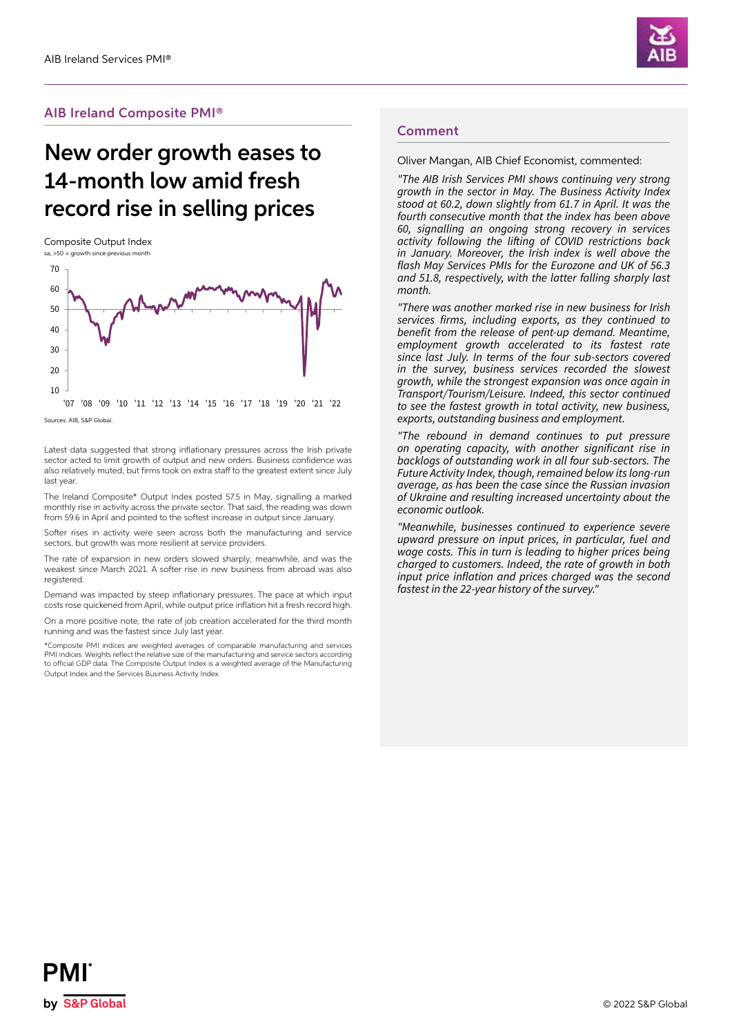

### AIB Ireland Composite PMI®

## New order growth eases to 14-month low amid fresh record rise in selling prices

Composite Output Index



'07 '08 '09 '10 '11 '12 '13 '14 '15 '16 '17 '18 '19 '20 '21 '22

Sources: AIB, S&P Global.

Latest data suggested that strong inflationary pressures across the Irish private sector acted to limit growth of output and new orders. Business confidence was also relatively muted, but firms took on extra staff to the greatest extent since July last year.

The Ireland Composite\* Output Index posted 57.5 in May, signalling a marked monthly rise in activity across the private sector. That said, the reading was down from 59.6 in April and pointed to the softest increase in output since January.

Softer rises in activity were seen across both the manufacturing and service sectors, but growth was more resilient at service providers.

The rate of expansion in new orders slowed sharply, meanwhile, and was the weakest since March 2021. A softer rise in new business from abroad was also registered.

Demand was impacted by steep inflationary pressures. The pace at which input costs rose quickened from April, while output price inflation hit a fresh record high.

On a more positive note, the rate of job creation accelerated for the third month running and was the fastest since July last year.

\*Composite PMI indices are weighted averages of comparable manufacturing and services PMI indices. Weights reflect the relative size of the manufacturing and service sectors according to official GDP data. The Composite Output Index is a weighted average of the Manufacturing Output Index and the Services Business Activity Index.

#### Comment

Oliver Mangan, AIB Chief Economist, commented:

*"The AIB Irish Services PMI shows continuing very strong growth in the sector in May. The Business Activity Index stood at 60.2, down slightly from 61.7 in April. It was the fourth consecutive month that the index has been above 60, signalling an ongoing strong recovery in services*  activity following the lifting of COVID restrictions back *in January. Moreover, the Irish index is well above the*  flash May Services PMIs for the Eurozone and UK of 56.3 and 51.8, respectively, with the latter falling sharply last *month.* 

"There was another marked rise in new business for Irish services firms, including exports, as they continued to benefit from the release of pent-up demand. Meantime, *employment growth accelerated to its fastest rate*  since last July. In terms of the four sub-sectors covered *in the survey, business services recorded the slowest growth, while the strongest expansion was once again in Transport/Tourism/Leisure. Indeed, this sector continued to see the fastest growth in total activity, new business, exports, outstanding business and employment.* 

*"The rebound in demand continues to put pressure*  on operating capacity, with another significant rise in backlogs of outstanding work in all four sub-sectors. The Future Activity Index, though, remained below its long-run *average, as has been the case since the Russian invasion*  of Ukraine and resulting increased uncertainty about the economic outlook.

*"Meanwhile, businesses continued to experience severe upward pressure on input prices, in particular, fuel and wage costs. This in turn is leading to higher prices being charged to customers. Indeed, the rate of growth in both*  input price inflation and prices charged was the second fastest in the 22-year history of the survey."